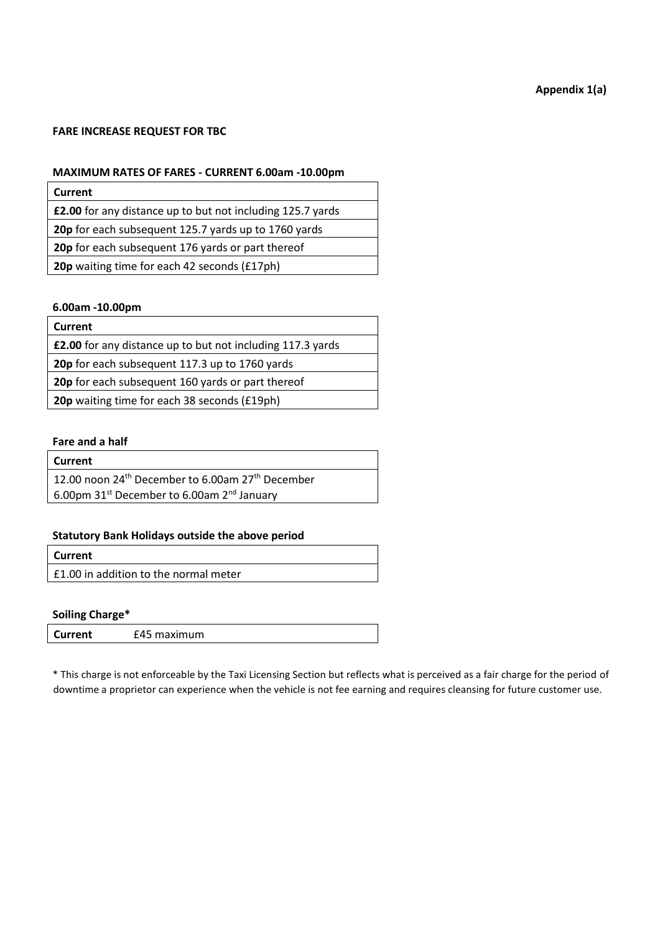# **Appendix 1(a)**

# **FARE INCREASE REQUEST FOR TBC**

# **MAXIMUM RATES OF FARES - CURRENT 6.00am -10.00pm**

| Current                                                           |
|-------------------------------------------------------------------|
| <b>£2.00</b> for any distance up to but not including 125.7 yards |
| 20p for each subsequent 125.7 yards up to 1760 yards              |
| 20p for each subsequent 176 yards or part thereof                 |
| <b>20p</b> waiting time for each 42 seconds (£17ph)               |
|                                                                   |

#### **6.00am -10.00pm**

| Current                                                           |
|-------------------------------------------------------------------|
| <b>£2.00</b> for any distance up to but not including 117.3 yards |
| 20p for each subsequent 117.3 up to 1760 yards                    |
| 20p for each subsequent 160 yards or part thereof                 |
| <b>20p</b> waiting time for each 38 seconds (£19ph)               |

#### **Fare and a half**

| Current                                                                  |
|--------------------------------------------------------------------------|
| 12.00 noon 24 <sup>th</sup> December to 6.00am 27 <sup>th</sup> December |
| 6.00pm 31 <sup>st</sup> December to 6.00am 2 <sup>nd</sup> January       |
|                                                                          |

# **Statutory Bank Holidays outside the above period**

| <b>Current</b>                        |  |
|---------------------------------------|--|
| £1.00 in addition to the normal meter |  |

# **Soiling Charge\***

| <b>Current</b> | £45 maximum |  |
|----------------|-------------|--|
|                |             |  |

\* This charge is not enforceable by the Taxi Licensing Section but reflects what is perceived as a fair charge for the period of downtime a proprietor can experience when the vehicle is not fee earning and requires cleansing for future customer use.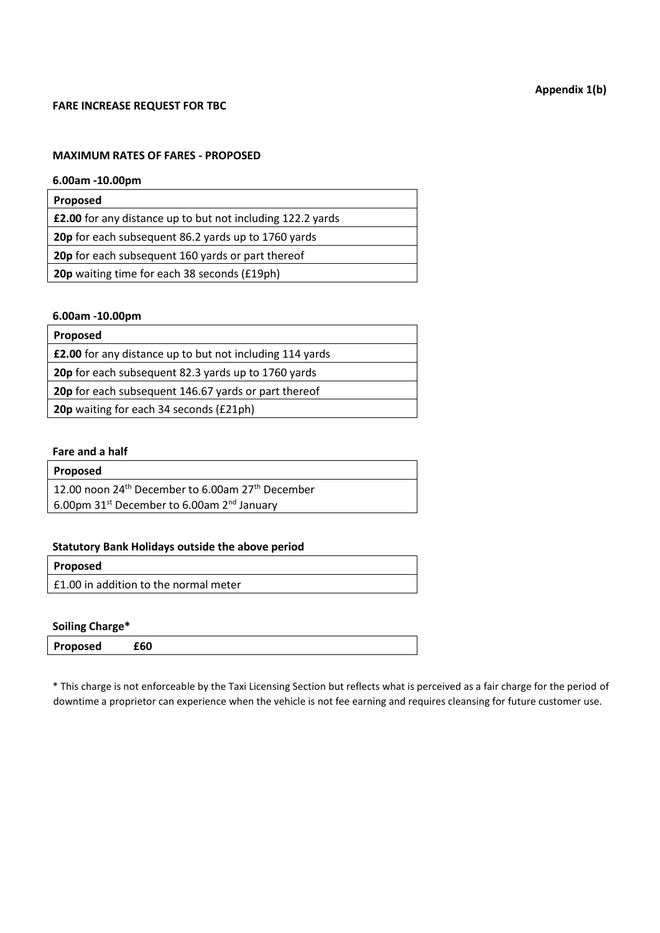# **FARE INCREASE REQUEST FOR TBC**

## **MAXIMUM RATES OF FARES - PROPOSED**

# **6.00am -10.00pm**

| Proposed                                                          |
|-------------------------------------------------------------------|
| <b>£2.00</b> for any distance up to but not including 122.2 yards |
| 20p for each subsequent 86.2 yards up to 1760 yards               |
| 20p for each subsequent 160 yards or part thereof                 |
| 20p waiting time for each 38 seconds (£19ph)                      |
|                                                                   |

# **6.00am -10.00pm**

| <b>Proposed</b>                                                 |
|-----------------------------------------------------------------|
| <b>£2.00</b> for any distance up to but not including 114 yards |
| 20p for each subsequent 82.3 yards up to 1760 yards             |
| 20p for each subsequent 146.67 yards or part thereof            |
| 20p waiting for each 34 seconds (£21ph)                         |
|                                                                 |

# **Fare and a half**

| Proposed                                                                 |
|--------------------------------------------------------------------------|
| 12.00 noon 24 <sup>th</sup> December to 6.00am 27 <sup>th</sup> December |
| 6.00pm 31 <sup>st</sup> December to 6.00am 2 <sup>nd</sup> January       |

# **Statutory Bank Holidays outside the above period**

| Proposed |  |
|----------|--|
|          |  |

£1.00 in addition to the normal meter

# **Soiling Charge\***

| Proposed<br>£60 |
|-----------------|
|-----------------|

\* This charge is not enforceable by the Taxi Licensing Section but reflects what is perceived as a fair charge for the period of downtime a proprietor can experience when the vehicle is not fee earning and requires cleansing for future customer use.